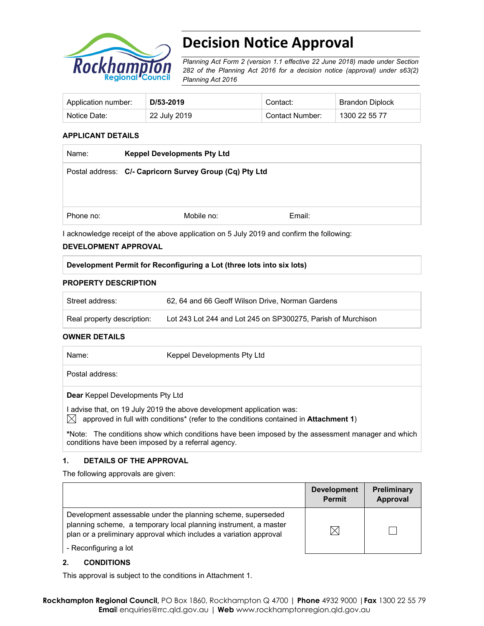

# **Decision Notice Approval**

*Planning Act Form 2 (version 1.1 effective 22 June 2018) made under Section 282 of the Planning Act 2016 for a decision notice (approval) under s63(2) Planning Act 2016*

| Application number: | D/53-2019    | Contact:        | Brandon Diplock |
|---------------------|--------------|-----------------|-----------------|
| Notice Date:        | 22 July 2019 | Contact Number: | 1300 22 55 77   |

#### **APPLICANT DETAILS**

| <b>Keppel Developments Pty Ltd</b> |                                                         |  |
|------------------------------------|---------------------------------------------------------|--|
|                                    |                                                         |  |
|                                    |                                                         |  |
|                                    |                                                         |  |
| Mobile no:                         | Email:                                                  |  |
|                                    | Postal address: C/- Capricorn Survey Group (Cq) Pty Ltd |  |

I acknowledge receipt of the above application on 5 July 2019 and confirm the following:

#### **DEVELOPMENT APPROVAL**

#### **Development Permit for Reconfiguring a Lot (three lots into six lots)**

#### **PROPERTY DESCRIPTION**

| Street address:            | 62, 64 and 66 Geoff Wilson Drive, Norman Gardens             |
|----------------------------|--------------------------------------------------------------|
| Real property description: | Lot 243 Lot 244 and Lot 245 on SP300275, Parish of Murchison |

#### **OWNER DETAILS**

| Name:                                              | Keppel Developments Pty Ltd                                                                                                                                  |
|----------------------------------------------------|--------------------------------------------------------------------------------------------------------------------------------------------------------------|
| Postal address:                                    |                                                                                                                                                              |
| <b>Dear</b> Keppel Developments Pty Ltd            |                                                                                                                                                              |
|                                                    | advise that, on 19 July 2019 the above development application was:<br>approved in full with conditions* (refer to the conditions contained in Attachment 1) |
| conditions have been imposed by a referral agency. | *Note: The conditions show which conditions have been imposed by the assessment manager and which                                                            |

#### **1. DETAILS OF THE APPROVAL**

The following approvals are given:

|                                                                                                                                                                                                        | <b>Development</b><br><b>Permit</b> | Preliminary<br>Approval |
|--------------------------------------------------------------------------------------------------------------------------------------------------------------------------------------------------------|-------------------------------------|-------------------------|
| Development assessable under the planning scheme, superseded<br>planning scheme, a temporary local planning instrument, a master<br>plan or a preliminary approval which includes a variation approval | $\boxtimes$                         |                         |
| - Reconfiguring a lot                                                                                                                                                                                  |                                     |                         |

#### **2. CONDITIONS**

This approval is subject to the conditions in Attachment 1.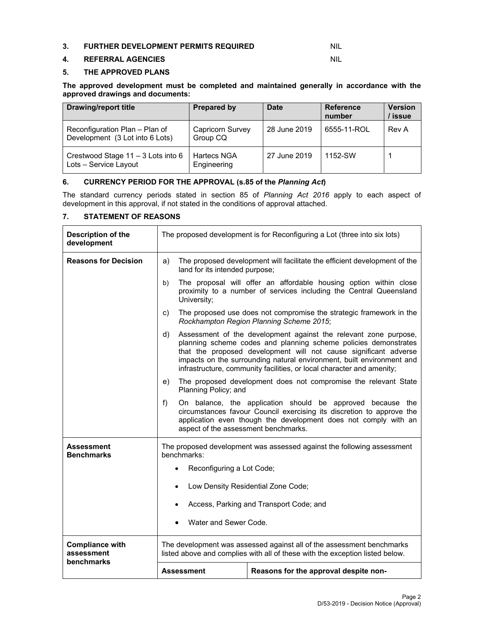#### **3. FURTHER DEVELOPMENT PERMITS REQUIRED** NIL

#### **4. REFERRAL AGENCIES** NIL

#### **5. THE APPROVED PLANS**

**The approved development must be completed and maintained generally in accordance with the approved drawings and documents:** 

| <b>Drawing/report title</b>                                       | <b>Prepared by</b>                | <b>Date</b>  | <b>Reference</b><br>number | <b>Version</b><br>/ issue |
|-------------------------------------------------------------------|-----------------------------------|--------------|----------------------------|---------------------------|
| Reconfiguration Plan - Plan of<br>Development (3 Lot into 6 Lots) | Capricorn Survey<br>Group CQ      | 28 June 2019 | 6555-11-ROL                | Rev A                     |
| Crestwood Stage 11 - 3 Lots into 6<br>Lots - Service Layout       | <b>Hartecs NGA</b><br>Engineering | 27 June 2019 | 1152-SW                    |                           |

#### **6. CURRENCY PERIOD FOR THE APPROVAL (s.85 of the** *Planning Act***)**

The standard currency periods stated in section 85 of *Planning Act 2016* apply to each aspect of development in this approval, if not stated in the conditions of approval attached.

#### **7. STATEMENT OF REASONS**

| Description of the<br>development    | The proposed development is for Reconfiguring a Lot (three into six lots)                                                                             |                                                                                                                                                                                                                                                                                                                                                           |  |  |  |  |
|--------------------------------------|-------------------------------------------------------------------------------------------------------------------------------------------------------|-----------------------------------------------------------------------------------------------------------------------------------------------------------------------------------------------------------------------------------------------------------------------------------------------------------------------------------------------------------|--|--|--|--|
| <b>Reasons for Decision</b>          | The proposed development will facilitate the efficient development of the<br>a)<br>land for its intended purpose;                                     |                                                                                                                                                                                                                                                                                                                                                           |  |  |  |  |
|                                      | b)<br>University;                                                                                                                                     | The proposal will offer an affordable housing option within close<br>proximity to a number of services including the Central Queensland                                                                                                                                                                                                                   |  |  |  |  |
|                                      | C)                                                                                                                                                    | The proposed use does not compromise the strategic framework in the<br>Rockhampton Region Planning Scheme 2015;                                                                                                                                                                                                                                           |  |  |  |  |
|                                      | d)                                                                                                                                                    | Assessment of the development against the relevant zone purpose,<br>planning scheme codes and planning scheme policies demonstrates<br>that the proposed development will not cause significant adverse<br>impacts on the surrounding natural environment, built environment and<br>infrastructure, community facilities, or local character and amenity; |  |  |  |  |
|                                      | The proposed development does not compromise the relevant State<br>e)<br>Planning Policy; and                                                         |                                                                                                                                                                                                                                                                                                                                                           |  |  |  |  |
|                                      | f)                                                                                                                                                    | On balance, the application should be approved because the<br>circumstances favour Council exercising its discretion to approve the<br>application even though the development does not comply with an<br>aspect of the assessment benchmarks.                                                                                                            |  |  |  |  |
| Assessment<br><b>Benchmarks</b>      | The proposed development was assessed against the following assessment<br>benchmarks:                                                                 |                                                                                                                                                                                                                                                                                                                                                           |  |  |  |  |
|                                      | Reconfiguring a Lot Code;                                                                                                                             |                                                                                                                                                                                                                                                                                                                                                           |  |  |  |  |
|                                      | $\bullet$                                                                                                                                             | Low Density Residential Zone Code;                                                                                                                                                                                                                                                                                                                        |  |  |  |  |
|                                      |                                                                                                                                                       | Access, Parking and Transport Code; and                                                                                                                                                                                                                                                                                                                   |  |  |  |  |
|                                      | Water and Sewer Code.                                                                                                                                 |                                                                                                                                                                                                                                                                                                                                                           |  |  |  |  |
| <b>Compliance with</b><br>assessment | The development was assessed against all of the assessment benchmarks<br>listed above and complies with all of these with the exception listed below. |                                                                                                                                                                                                                                                                                                                                                           |  |  |  |  |
| benchmarks                           | Assessment                                                                                                                                            | Reasons for the approval despite non-                                                                                                                                                                                                                                                                                                                     |  |  |  |  |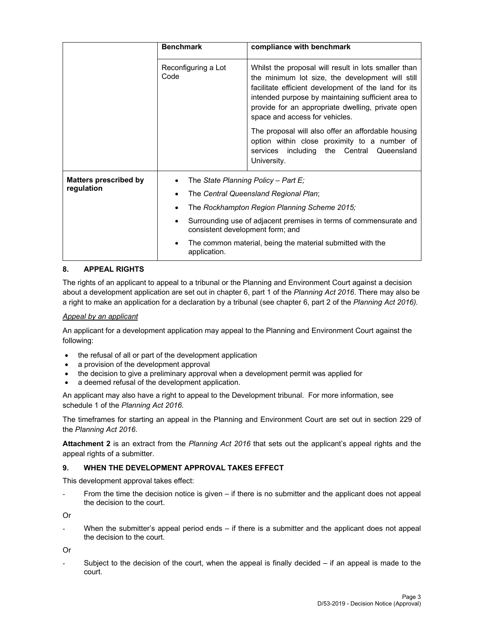|                                            | <b>Benchmark</b>                 | compliance with benchmark                                                                                                                                                                                                                                                                                     |
|--------------------------------------------|----------------------------------|---------------------------------------------------------------------------------------------------------------------------------------------------------------------------------------------------------------------------------------------------------------------------------------------------------------|
|                                            | Reconfiguring a Lot<br>Code      | Whilst the proposal will result in lots smaller than<br>the minimum lot size, the development will still<br>facilitate efficient development of the land for its<br>intended purpose by maintaining sufficient area to<br>provide for an appropriate dwelling, private open<br>space and access for vehicles. |
|                                            |                                  | The proposal will also offer an affordable housing<br>option within close proximity to a number of<br>services including the Central Queensland<br>University.                                                                                                                                                |
| <b>Matters prescribed by</b><br>regulation |                                  | The State Planning Policy - Part E;<br>The Central Queensland Regional Plan;                                                                                                                                                                                                                                  |
|                                            |                                  | The Rockhampton Region Planning Scheme 2015;                                                                                                                                                                                                                                                                  |
|                                            | consistent development form; and | Surrounding use of adjacent premises in terms of commensurate and                                                                                                                                                                                                                                             |
|                                            | application.                     | The common material, being the material submitted with the                                                                                                                                                                                                                                                    |

#### **8. APPEAL RIGHTS**

The rights of an applicant to appeal to a tribunal or the Planning and Environment Court against a decision about a development application are set out in chapter 6, part 1 of the *Planning Act 2016*. There may also be a right to make an application for a declaration by a tribunal (see chapter 6, part 2 of the *Planning Act 2016).*

#### *Appeal by an applicant*

An applicant for a development application may appeal to the Planning and Environment Court against the following:

- the refusal of all or part of the development application
- a provision of the development approval
- the decision to give a preliminary approval when a development permit was applied for
- a deemed refusal of the development application.

An applicant may also have a right to appeal to the Development tribunal. For more information, see schedule 1 of the *Planning Act 2016*.

The timeframes for starting an appeal in the Planning and Environment Court are set out in section 229 of the *Planning Act 2016*.

**Attachment 2** is an extract from the *Planning Act 2016* that sets out the applicant's appeal rights and the appeal rights of a submitter.

#### **9. WHEN THE DEVELOPMENT APPROVAL TAKES EFFECT**

This development approval takes effect:

From the time the decision notice is given – if there is no submitter and the applicant does not appeal the decision to the court.

Or

When the submitter's appeal period ends  $-$  if there is a submitter and the applicant does not appeal the decision to the court.

Or

Subject to the decision of the court, when the appeal is finally decided  $-$  if an appeal is made to the court.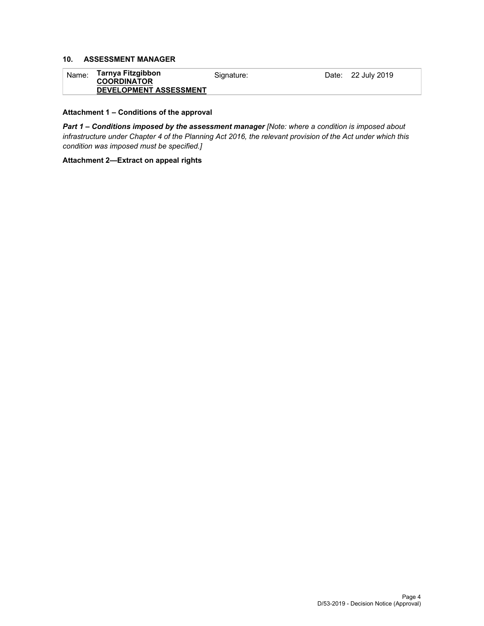#### **10. ASSESSMENT MANAGER**

| ˈ <sub>Nameː</sub> Tarnya Fitzgibbon<br><b>COORDINATOR</b> | Signature: | Date: 22 July 2019 |
|------------------------------------------------------------|------------|--------------------|
| <b>DEVELOPMENT ASSESSMENT</b>                              |            |                    |

#### **Attachment 1 – Conditions of the approval**

*Part 1* **–** *Conditions imposed by the assessment manager [Note: where a condition is imposed about infrastructure under Chapter 4 of the Planning Act 2016, the relevant provision of the Act under which this condition was imposed must be specified.]*

#### **Attachment 2—Extract on appeal rights**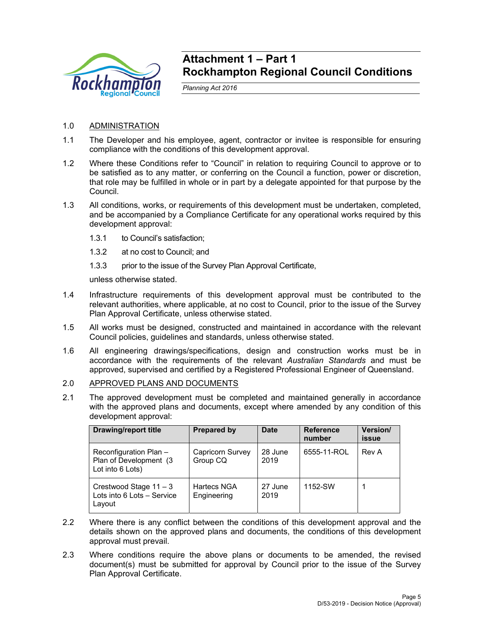

### **Attachment 1 – Part 1 Rockhampton Regional Council Conditions**

*Planning Act 2016* 

#### 1.0 ADMINISTRATION

- 1.1 The Developer and his employee, agent, contractor or invitee is responsible for ensuring compliance with the conditions of this development approval.
- 1.2 Where these Conditions refer to "Council" in relation to requiring Council to approve or to be satisfied as to any matter, or conferring on the Council a function, power or discretion, that role may be fulfilled in whole or in part by a delegate appointed for that purpose by the Council.
- 1.3 All conditions, works, or requirements of this development must be undertaken, completed, and be accompanied by a Compliance Certificate for any operational works required by this development approval:
	- 1.3.1 to Council's satisfaction;
	- 1.3.2 at no cost to Council; and
	- 1.3.3 prior to the issue of the Survey Plan Approval Certificate,

unless otherwise stated.

- 1.4 Infrastructure requirements of this development approval must be contributed to the relevant authorities, where applicable, at no cost to Council, prior to the issue of the Survey Plan Approval Certificate, unless otherwise stated.
- 1.5 All works must be designed, constructed and maintained in accordance with the relevant Council policies, guidelines and standards, unless otherwise stated.
- 1.6 All engineering drawings/specifications, design and construction works must be in accordance with the requirements of the relevant *Australian Standards* and must be approved, supervised and certified by a Registered Professional Engineer of Queensland.
- 2.0 APPROVED PLANS AND DOCUMENTS
- 2.1 The approved development must be completed and maintained generally in accordance with the approved plans and documents, except where amended by any condition of this development approval:

| <b>Drawing/report title</b>                                          | Prepared by                  | <b>Date</b>     | <b>Reference</b><br>number | Version/<br>issue |
|----------------------------------------------------------------------|------------------------------|-----------------|----------------------------|-------------------|
| Reconfiguration Plan -<br>Plan of Development (3<br>Lot into 6 Lots) | Capricorn Survey<br>Group CQ | 28 June<br>2019 | 6555-11-ROL                | Rev A             |
| Crestwood Stage $11 - 3$<br>Lots into 6 Lots - Service<br>Layout     | Hartecs NGA<br>Engineering   | 27 June<br>2019 | 1152-SW                    |                   |

- 2.2 Where there is any conflict between the conditions of this development approval and the details shown on the approved plans and documents, the conditions of this development approval must prevail.
- 2.3 Where conditions require the above plans or documents to be amended, the revised document(s) must be submitted for approval by Council prior to the issue of the Survey Plan Approval Certificate.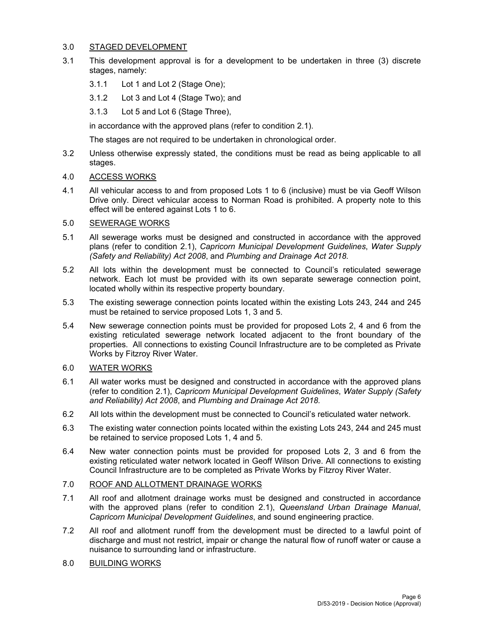#### 3.0 STAGED DEVELOPMENT

- 3.1 This development approval is for a development to be undertaken in three (3) discrete stages, namely:
	- 3.1.1 Lot 1 and Lot 2 (Stage One);
	- 3.1.2 Lot 3 and Lot 4 (Stage Two); and
	- 3.1.3 Lot 5 and Lot 6 (Stage Three),

in accordance with the approved plans (refer to condition 2.1).

The stages are not required to be undertaken in chronological order.

3.2 Unless otherwise expressly stated, the conditions must be read as being applicable to all stages.

#### 4.0 ACCESS WORKS

4.1 All vehicular access to and from proposed Lots 1 to 6 (inclusive) must be via Geoff Wilson Drive only. Direct vehicular access to Norman Road is prohibited. A property note to this effect will be entered against Lots 1 to 6.

#### 5.0 SEWERAGE WORKS

- 5.1 All sewerage works must be designed and constructed in accordance with the approved plans (refer to condition 2.1), *Capricorn Municipal Development Guidelines*, *Water Supply (Safety and Reliability) Act 2008*, and *Plumbing and Drainage Act 2018.*
- 5.2 All lots within the development must be connected to Council's reticulated sewerage network. Each lot must be provided with its own separate sewerage connection point, located wholly within its respective property boundary.
- 5.3 The existing sewerage connection points located within the existing Lots 243, 244 and 245 must be retained to service proposed Lots 1, 3 and 5.
- 5.4 New sewerage connection points must be provided for proposed Lots 2, 4 and 6 from the existing reticulated sewerage network located adjacent to the front boundary of the properties. All connections to existing Council Infrastructure are to be completed as Private Works by Fitzroy River Water.

#### 6.0 WATER WORKS

- 6.1 All water works must be designed and constructed in accordance with the approved plans (refer to condition 2.1), *Capricorn Municipal Development Guidelines*, *Water Supply (Safety and Reliability) Act 2008*, and *Plumbing and Drainage Act 2018.*
- 6.2 All lots within the development must be connected to Council's reticulated water network.
- 6.3 The existing water connection points located within the existing Lots 243, 244 and 245 must be retained to service proposed Lots 1, 4 and 5.
- 6.4 New water connection points must be provided for proposed Lots 2, 3 and 6 from the existing reticulated water network located in Geoff Wilson Drive. All connections to existing Council Infrastructure are to be completed as Private Works by Fitzroy River Water.
- 7.0 ROOF AND ALLOTMENT DRAINAGE WORKS
- 7.1 All roof and allotment drainage works must be designed and constructed in accordance with the approved plans (refer to condition 2.1), *Queensland Urban Drainage Manual*, *Capricorn Municipal Development Guidelines*, and sound engineering practice.
- 7.2 All roof and allotment runoff from the development must be directed to a lawful point of discharge and must not restrict, impair or change the natural flow of runoff water or cause a nuisance to surrounding land or infrastructure.
- 8.0 BUILDING WORKS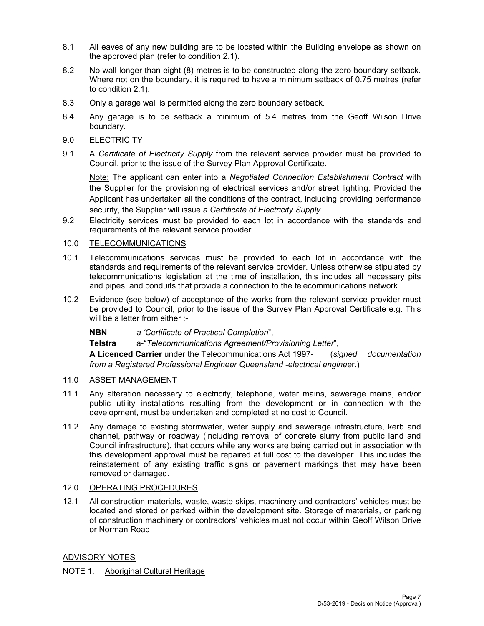- 8.1 All eaves of any new building are to be located within the Building envelope as shown on the approved plan (refer to condition 2.1).
- 8.2 No wall longer than eight (8) metres is to be constructed along the zero boundary setback. Where not on the boundary, it is required to have a minimum setback of 0.75 metres (refer to condition 2.1).
- 8.3 Only a garage wall is permitted along the zero boundary setback.
- 8.4 Any garage is to be setback a minimum of 5.4 metres from the Geoff Wilson Drive boundary.
- 9.0 ELECTRICITY
- 9.1 A *Certificate of Electricity Supply* from the relevant service provider must be provided to Council, prior to the issue of the Survey Plan Approval Certificate.

Note: The applicant can enter into a *Negotiated Connection Establishment Contract* with the Supplier for the provisioning of electrical services and/or street lighting. Provided the Applicant has undertaken all the conditions of the contract, including providing performance security, the Supplier will issue *a Certificate of Electricity Supply*.

9.2 Electricity services must be provided to each lot in accordance with the standards and requirements of the relevant service provider.

#### 10.0 TELECOMMUNICATIONS

- 10.1 Telecommunications services must be provided to each lot in accordance with the standards and requirements of the relevant service provider. Unless otherwise stipulated by telecommunications legislation at the time of installation, this includes all necessary pits and pipes, and conduits that provide a connection to the telecommunications network.
- 10.2 Evidence (see below) of acceptance of the works from the relevant service provider must be provided to Council, prior to the issue of the Survey Plan Approval Certificate e.g. This will be a letter from either :-
	- **NBN** *a 'Certificate of Practical Completion*",

**Telstra** a-"*Telecommunications Agreement/Provisioning Letter*",

**A Licenced Carrier** under the Telecommunications Act 1997- (*signed documentation from a Registered Professional Engineer Queensland -electrical enginee*r.)

#### 11.0 ASSET MANAGEMENT

- 11.1 Any alteration necessary to electricity, telephone, water mains, sewerage mains, and/or public utility installations resulting from the development or in connection with the development, must be undertaken and completed at no cost to Council.
- 11.2 Any damage to existing stormwater, water supply and sewerage infrastructure, kerb and channel, pathway or roadway (including removal of concrete slurry from public land and Council infrastructure), that occurs while any works are being carried out in association with this development approval must be repaired at full cost to the developer. This includes the reinstatement of any existing traffic signs or pavement markings that may have been removed or damaged.

#### 12.0 OPERATING PROCEDURES

12.1 All construction materials, waste, waste skips, machinery and contractors' vehicles must be located and stored or parked within the development site. Storage of materials, or parking of construction machinery or contractors' vehicles must not occur within Geoff Wilson Drive or Norman Road.

#### ADVISORY NOTES

#### NOTE 1. Aboriginal Cultural Heritage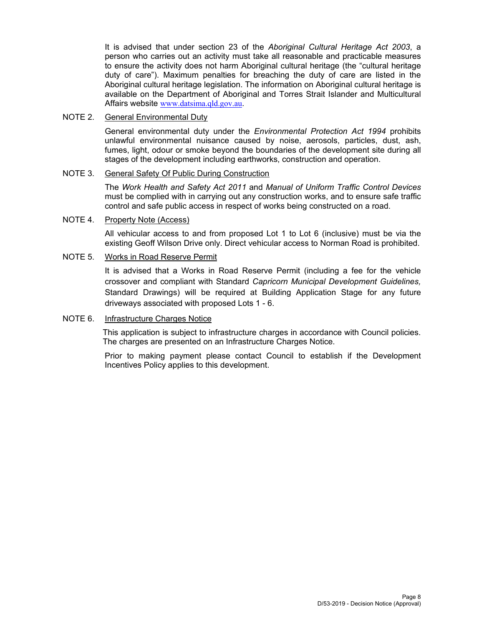It is advised that under section 23 of the *Aboriginal Cultural Heritage Act 2003*, a person who carries out an activity must take all reasonable and practicable measures to ensure the activity does not harm Aboriginal cultural heritage (the "cultural heritage duty of care"). Maximum penalties for breaching the duty of care are listed in the Aboriginal cultural heritage legislation. The information on Aboriginal cultural heritage is available on the Department of Aboriginal and Torres Strait Islander and Multicultural Affairs website www.datsima.qld.gov.au.

#### NOTE 2. General Environmental Duty

General environmental duty under the *Environmental Protection Act 1994* prohibits unlawful environmental nuisance caused by noise, aerosols, particles, dust, ash, fumes, light, odour or smoke beyond the boundaries of the development site during all stages of the development including earthworks, construction and operation.

#### NOTE 3. General Safety Of Public During Construction

The *Work Health and Safety Act 2011* and *Manual of Uniform Traffic Control Devices* must be complied with in carrying out any construction works, and to ensure safe traffic control and safe public access in respect of works being constructed on a road.

#### NOTE 4. Property Note (Access)

All vehicular access to and from proposed Lot 1 to Lot 6 (inclusive) must be via the existing Geoff Wilson Drive only. Direct vehicular access to Norman Road is prohibited.

#### NOTE 5. Works in Road Reserve Permit

It is advised that a Works in Road Reserve Permit (including a fee for the vehicle crossover and compliant with Standard *Capricorn Municipal Development Guidelines,* Standard Drawings) will be required at Building Application Stage for any future driveways associated with proposed Lots 1 - 6.

#### NOTE 6. Infrastructure Charges Notice

This application is subject to infrastructure charges in accordance with Council policies. The charges are presented on an Infrastructure Charges Notice.

Prior to making payment please contact Council to establish if the Development Incentives Policy applies to this development.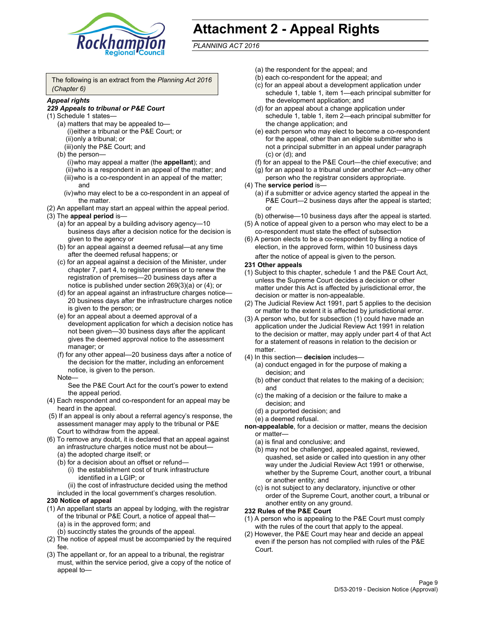

## **Attachment 2 - Appeal Rights**

*PLANNING ACT 2016*

The following is an extract from the *Planning Act 2016 (Chapter 6)*

#### *Appeal rights*

#### *229 Appeals to tribunal or P&E Court*

- (1) Schedule 1 states—
	- (a) matters that may be appealed to— (i) either a tribunal or the P&E Court; or (ii) only a tribunal; or (iii) only the P&E Court; and
	- (b) the person—
		- (i) who may appeal a matter (the **appellant**); and
		- (ii) who is a respondent in an appeal of the matter; and (iii) who is a co-respondent in an appeal of the matter; and
		- (iv) who may elect to be a co-respondent in an appeal of the matter.
- (2) An appellant may start an appeal within the appeal period.
- (3) The **appeal period** is—
	- (a) for an appeal by a building advisory agency—10 business days after a decision notice for the decision is given to the agency or
	- (b) for an appeal against a deemed refusal—at any time after the deemed refusal happens; or
	- (c) for an appeal against a decision of the Minister, under chapter 7, part 4, to register premises or to renew the registration of premises—20 business days after a notice is published under section 269(3)(a) or (4); or
	- (d) for an appeal against an infrastructure charges notice— 20 business days after the infrastructure charges notice is given to the person; or
	- (e) for an appeal about a deemed approval of a development application for which a decision notice has not been given—30 business days after the applicant gives the deemed approval notice to the assessment manager; or
	- (f) for any other appeal—20 business days after a notice of the decision for the matter, including an enforcement notice, is given to the person.

#### Note—

See the P&E Court Act for the court's power to extend the appeal period.

- (4) Each respondent and co-respondent for an appeal may be heard in the appeal.
- (5) If an appeal is only about a referral agency's response, the assessment manager may apply to the tribunal or P&E Court to withdraw from the appeal.
- (6) To remove any doubt, it is declared that an appeal against an infrastructure charges notice must not be about— (a) the adopted charge itself; or
	- (b) for a decision about an offset or refund—
		- (i) the establishment cost of trunk infrastructure identified in a LGIP; or
		- (ii) the cost of infrastructure decided using the method
	- included in the local government's charges resolution.

#### **230 Notice of appeal**

- (1) An appellant starts an appeal by lodging, with the registrar of the tribunal or P&E Court, a notice of appeal that— (a) is in the approved form; and
	- (b) succinctly states the grounds of the appeal.
- (2) The notice of appeal must be accompanied by the required fee.
- (3) The appellant or, for an appeal to a tribunal, the registrar must, within the service period, give a copy of the notice of appeal to—
- (a) the respondent for the appeal; and
- (b) each co-respondent for the appeal; and
- (c) for an appeal about a development application under schedule 1, table 1, item 1—each principal submitter for the development application; and
- (d) for an appeal about a change application under schedule 1, table 1, item 2—each principal submitter for the change application; and
- (e) each person who may elect to become a co-respondent for the appeal, other than an eligible submitter who is not a principal submitter in an appeal under paragraph (c) or (d); and
- (f) for an appeal to the P&E Court—the chief executive; and
- (g) for an appeal to a tribunal under another Act—any other person who the registrar considers appropriate.
- (4) The **service period** is—
	- (a) if a submitter or advice agency started the appeal in the P&E Court-2 business days after the appeal is started; or
	- (b) otherwise—10 business days after the appeal is started.
- (5) A notice of appeal given to a person who may elect to be a co-respondent must state the effect of subsection
- (6) A person elects to be a co-respondent by filing a notice of election, in the approved form, within 10 business days
	- after the notice of appeal is given to the person*.*
- **231 Other appeals**
- (1) Subject to this chapter, schedule 1 and the P&E Court Act, unless the Supreme Court decides a decision or other matter under this Act is affected by jurisdictional error, the decision or matter is non-appealable.
- (2) The Judicial Review Act 1991, part 5 applies to the decision or matter to the extent it is affected by jurisdictional error.
- (3) A person who, but for subsection (1) could have made an application under the Judicial Review Act 1991 in relation to the decision or matter, may apply under part 4 of that Act for a statement of reasons in relation to the decision or matter.
- (4) In this section— **decision** includes—
	- (a) conduct engaged in for the purpose of making a decision; and
	- (b) other conduct that relates to the making of a decision; and
	- (c) the making of a decision or the failure to make a decision; and
	- (d) a purported decision; and
	- (e) a deemed refusal.

**non-appealable**, for a decision or matter, means the decision or matter—

- (a) is final and conclusive; and
- (b) may not be challenged, appealed against, reviewed, quashed, set aside or called into question in any other way under the Judicial Review Act 1991 or otherwise, whether by the Supreme Court, another court, a tribunal or another entity; and
- (c) is not subject to any declaratory, injunctive or other order of the Supreme Court, another court, a tribunal or another entity on any ground.

#### **232 Rules of the P&E Court**

- (1) A person who is appealing to the P&E Court must comply with the rules of the court that apply to the appeal.
- (2) However, the P&E Court may hear and decide an appeal even if the person has not complied with rules of the P&E Court.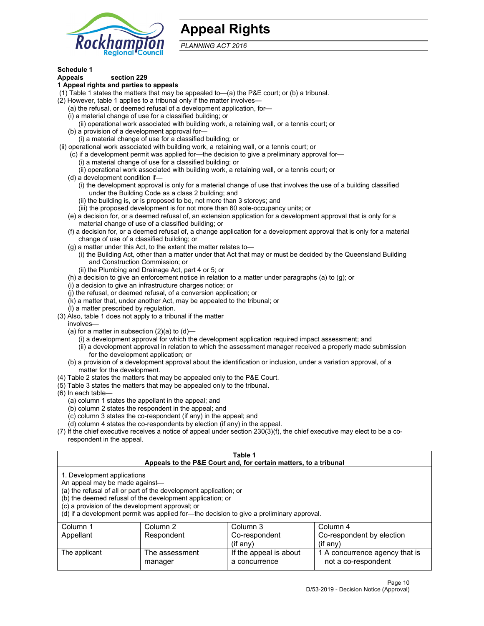

### **Appeal Rights**

*PLANNING ACT 2016*

#### **Schedule 1**

### **Appeals section 229**

#### **1 Appeal rights and parties to appeals**

- (1) Table 1 states the matters that may be appealed to—(a) the P&E court; or (b) a tribunal.
- (2) However, table 1 applies to a tribunal only if the matter involves—
	- (a) the refusal, or deemed refusal of a development application, for—
	- (i) a material change of use for a classified building; or
	- (ii) operational work associated with building work, a retaining wall, or a tennis court; or
	- (b) a provision of a development approval for—
	- (i) a material change of use for a classified building; or
- (ii) operational work associated with building work, a retaining wall, or a tennis court; or
	- (c) if a development permit was applied for—the decision to give a preliminary approval for— (i) a material change of use for a classified building; or
	- (ii) operational work associated with building work, a retaining wall, or a tennis court; or
	- (d) a development condition if—
		- (i) the development approval is only for a material change of use that involves the use of a building classified under the Building Code as a class 2 building; and
		- (ii) the building is, or is proposed to be, not more than 3 storeys; and
		- (iii) the proposed development is for not more than 60 sole-occupancy units; or
	- (e) a decision for, or a deemed refusal of, an extension application for a development approval that is only for a material change of use of a classified building; or
	- (f) a decision for, or a deemed refusal of, a change application for a development approval that is only for a material change of use of a classified building; or
	- (g) a matter under this Act, to the extent the matter relates to—
		- (i) the Building Act, other than a matter under that Act that may or must be decided by the Queensland Building and Construction Commission; or
		- (ii) the Plumbing and Drainage Act, part 4 or 5; or
	- (h) a decision to give an enforcement notice in relation to a matter under paragraphs (a) to (g); or
	- (i) a decision to give an infrastructure charges notice; or
	- (j) the refusal, or deemed refusal, of a conversion application; or
	- (k) a matter that, under another Act, may be appealed to the tribunal; or
	- (l) a matter prescribed by regulation.
- (3) Also, table 1 does not apply to a tribunal if the matter
	- involves—
		- (a) for a matter in subsection  $(2)(a)$  to  $(d)$ 
			- (i) a development approval for which the development application required impact assessment; and
			- (ii) a development approval in relation to which the assessment manager received a properly made submission for the development application; or
	- (b) a provision of a development approval about the identification or inclusion, under a variation approval, of a matter for the development.
- (4) Table 2 states the matters that may be appealed only to the P&E Court.
- (5) Table 3 states the matters that may be appealed only to the tribunal.
- (6) In each table—
	- (a) column 1 states the appellant in the appeal; and
	- (b) column 2 states the respondent in the appeal; and
	- (c) column 3 states the co-respondent (if any) in the appeal; and
	- (d) column 4 states the co-respondents by election (if any) in the appeal.
- (7) If the chief executive receives a notice of appeal under section 230(3)(f), the chief executive may elect to be a corespondent in the appeal.

| Table 1<br>Appeals to the P&E Court and, for certain matters, to a tribunal                                                                                                                                                                                                                                                                    |                              |                                         |                                                       |  |  |
|------------------------------------------------------------------------------------------------------------------------------------------------------------------------------------------------------------------------------------------------------------------------------------------------------------------------------------------------|------------------------------|-----------------------------------------|-------------------------------------------------------|--|--|
| 1. Development applications<br>An appeal may be made against-<br>(a) the refusal of all or part of the development application; or<br>(b) the deemed refusal of the development application; or<br>(c) a provision of the development approval; or<br>(d) if a development permit was applied for-the decision to give a preliminary approval. |                              |                                         |                                                       |  |  |
| Column 1                                                                                                                                                                                                                                                                                                                                       | Column 2                     | Column 3                                | Column 4                                              |  |  |
| Appellant                                                                                                                                                                                                                                                                                                                                      | Respondent                   | Co-respondent                           | Co-respondent by election                             |  |  |
|                                                                                                                                                                                                                                                                                                                                                | $(if$ any)<br>$($ if any $)$ |                                         |                                                       |  |  |
| The applicant                                                                                                                                                                                                                                                                                                                                  | The assessment<br>manager    | If the appeal is about<br>a concurrence | 1 A concurrence agency that is<br>not a co-respondent |  |  |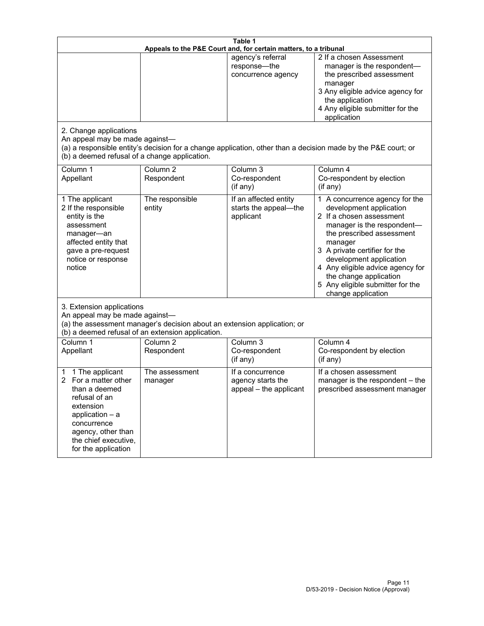| Table 1<br>Appeals to the P&E Court and, for certain matters, to a tribunal                                                                                                                             |                                                                                                                               |                                                                 |                                                                                                                                                                                                                                                                                                                                                 |
|---------------------------------------------------------------------------------------------------------------------------------------------------------------------------------------------------------|-------------------------------------------------------------------------------------------------------------------------------|-----------------------------------------------------------------|-------------------------------------------------------------------------------------------------------------------------------------------------------------------------------------------------------------------------------------------------------------------------------------------------------------------------------------------------|
| 2. Change applications<br>An appeal may be made against-<br>(b) a deemed refusal of a change application.                                                                                               |                                                                                                                               | agency's referral<br>response-the<br>concurrence agency         | 2 If a chosen Assessment<br>manager is the respondent-<br>the prescribed assessment<br>manager<br>3 Any eligible advice agency for<br>the application<br>4 Any eligible submitter for the<br>application<br>(a) a responsible entity's decision for a change application, other than a decision made by the P&E court; or                       |
| Column 1<br>Appellant                                                                                                                                                                                   | Column <sub>2</sub><br>Respondent                                                                                             | Column 3<br>Co-respondent<br>(if any)                           | Column 4<br>Co-respondent by election<br>(if any)                                                                                                                                                                                                                                                                                               |
| 1 The applicant<br>2 If the responsible<br>entity is the<br>assessment<br>manager-an<br>affected entity that<br>gave a pre-request<br>notice or response<br>notice                                      | The responsible<br>entity                                                                                                     | If an affected entity<br>starts the appeal-the<br>applicant     | 1 A concurrence agency for the<br>development application<br>2 If a chosen assessment<br>manager is the respondent-<br>the prescribed assessment<br>manager<br>3 A private certifier for the<br>development application<br>4 Any eligible advice agency for<br>the change application<br>5 Any eligible submitter for the<br>change application |
| 3. Extension applications<br>An appeal may be made against-                                                                                                                                             | (a) the assessment manager's decision about an extension application; or<br>(b) a deemed refusal of an extension application. |                                                                 |                                                                                                                                                                                                                                                                                                                                                 |
| Column 1<br>Appellant                                                                                                                                                                                   | Column <sub>2</sub><br>Respondent                                                                                             | Column 3<br>Co-respondent<br>(if any)                           | Column 4<br>Co-respondent by election<br>(if any)                                                                                                                                                                                                                                                                                               |
| 1 The applicant<br>1<br>For a matter other<br>2<br>than a deemed<br>refusal of an<br>extension<br>application $-$ a<br>concurrence<br>agency, other than<br>the chief executive,<br>for the application | The assessment<br>manager                                                                                                     | If a concurrence<br>agency starts the<br>appeal - the applicant | If a chosen assessment<br>manager is the respondent - the<br>prescribed assessment manager                                                                                                                                                                                                                                                      |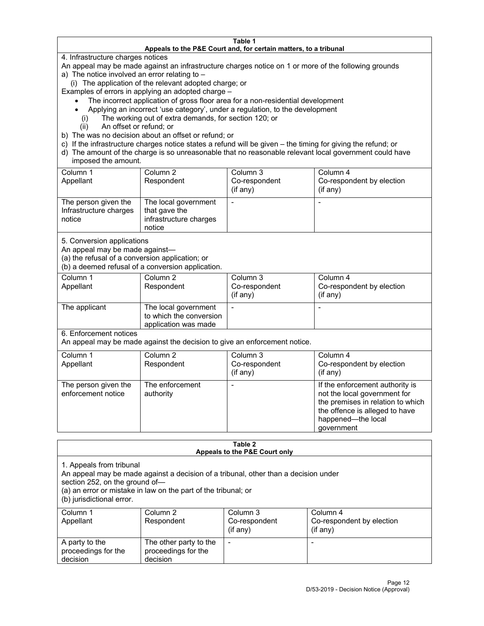#### **Table 1 Appeals to the P&E Court and, for certain matters, to a tribunal**

4. Infrastructure charges notices

An appeal may be made against an infrastructure charges notice on 1 or more of the following grounds

- a) The notice involved an error relating to
	- (i) The application of the relevant adopted charge; or

Examples of errors in applying an adopted charge –

- The incorrect application of gross floor area for a non-residential development
- Applying an incorrect 'use category', under a regulation, to the development
	- (i) The working out of extra demands, for section 120; or
	- (ii) An offset or refund; or
- b) The was no decision about an offset or refund; or
- c) If the infrastructure charges notice states a refund will be given the timing for giving the refund; or
- d) The amount of the charge is so unreasonable that no reasonable relevant local government could have imposed the amount.

| Column 1<br>Appellant                                    | Column 2<br>Respondent                                                    | Column 3<br>Co-respondent<br>$($ if any $)$ | Column 4<br>Co-respondent by election<br>$($ if any $)$ |
|----------------------------------------------------------|---------------------------------------------------------------------------|---------------------------------------------|---------------------------------------------------------|
| The person given the<br>Infrastructure charges<br>notice | The local government<br>that gave the<br>infrastructure charges<br>notice |                                             |                                                         |

5. Conversion applications

An appeal may be made against—

(a) the refusal of a conversion application; or

(b) a deemed refusal of a conversion application.

| Column 1      | Column 2                | Column 3       | Column 4                  |
|---------------|-------------------------|----------------|---------------------------|
| Appellant     | Respondent              | Co-respondent  | Co-respondent by election |
|               |                         | $($ if any $)$ | $($ if any $)$            |
|               |                         |                |                           |
| The applicant | The local government    |                |                           |
|               | to which the conversion |                |                           |
|               | application was made    |                |                           |

6. Enforcement notices

An appeal may be made against the decision to give an enforcement notice.

| Column 1<br>Appellant                      | Column 2<br>Respondent       | Column 3<br>Co-respondent<br>(if any) | Column 4<br>Co-respondent by election<br>$($ if any $)$                                                                                                                    |
|--------------------------------------------|------------------------------|---------------------------------------|----------------------------------------------------------------------------------------------------------------------------------------------------------------------------|
| The person given the<br>enforcement notice | The enforcement<br>authority |                                       | If the enforcement authority is<br>not the local government for<br>the premises in relation to which<br>the offence is alleged to have<br>happened-the local<br>government |

| Table 2<br>Appeals to the P&E Court only                                                                                                                                                                                                         |                                                           |                                         |                                                   |  |
|--------------------------------------------------------------------------------------------------------------------------------------------------------------------------------------------------------------------------------------------------|-----------------------------------------------------------|-----------------------------------------|---------------------------------------------------|--|
| 1. Appeals from tribunal<br>An appeal may be made against a decision of a tribunal, other than a decision under<br>section 252, on the ground of—<br>(a) an error or mistake in law on the part of the tribunal; or<br>(b) jurisdictional error. |                                                           |                                         |                                                   |  |
| Column 1<br>Appellant                                                                                                                                                                                                                            | Column <sub>2</sub><br>Respondent                         | Column 3<br>Co-respondent<br>$(if$ any) | Column 4<br>Co-respondent by election<br>(if any) |  |
| A party to the<br>proceedings for the<br>decision                                                                                                                                                                                                | The other party to the<br>proceedings for the<br>decision |                                         | $\overline{\phantom{0}}$                          |  |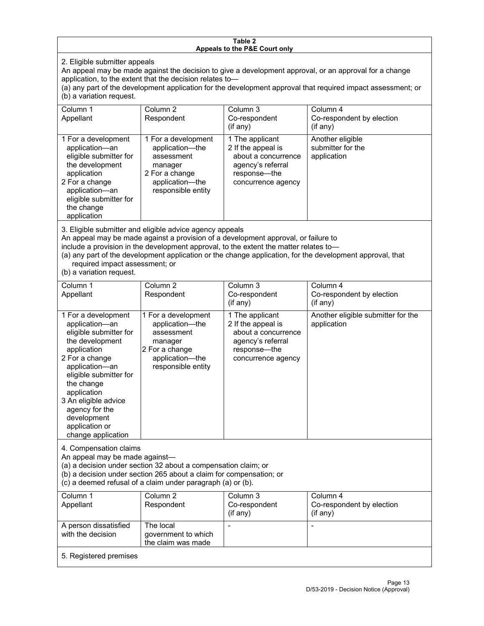#### **Table 2 Appeals to the P&E Court only**

2. Eligible submitter appeals

An appeal may be made against the decision to give a development approval, or an approval for a change application, to the extent that the decision relates to—

(a) any part of the development application for the development approval that required impact assessment; or (b) a variation request.

| Column 1<br>Appellant                                                                                                                                                                                                                                                                                                                                                                                              | Column <sub>2</sub><br>Respondent                                                                                          | Column 3<br>Co-respondent                                                                                               | Column 4<br>Co-respondent by election                |  |
|--------------------------------------------------------------------------------------------------------------------------------------------------------------------------------------------------------------------------------------------------------------------------------------------------------------------------------------------------------------------------------------------------------------------|----------------------------------------------------------------------------------------------------------------------------|-------------------------------------------------------------------------------------------------------------------------|------------------------------------------------------|--|
|                                                                                                                                                                                                                                                                                                                                                                                                                    |                                                                                                                            | $($ if any $)$                                                                                                          | (if any)                                             |  |
| 1 For a development<br>application-an<br>eligible submitter for<br>the development<br>application<br>2 For a change<br>application-an<br>eligible submitter for<br>the change<br>application                                                                                                                                                                                                                       | 1 For a development<br>application-the<br>assessment<br>manager<br>2 For a change<br>application-the<br>responsible entity | 1 The applicant<br>2 If the appeal is<br>about a concurrence<br>agency's referral<br>response-the<br>concurrence agency | Another eligible<br>submitter for the<br>application |  |
| 3. Eligible submitter and eligible advice agency appeals<br>An appeal may be made against a provision of a development approval, or failure to<br>include a provision in the development approval, to the extent the matter relates to-<br>(a) any part of the development application or the change application, for the development approval, that<br>required impact assessment; or<br>(b) a variation request. |                                                                                                                            |                                                                                                                         |                                                      |  |
| Column 1<br>Appellant                                                                                                                                                                                                                                                                                                                                                                                              | Column <sub>2</sub><br>Respondent                                                                                          | Column 3<br>Co-respondent<br>(if any)                                                                                   | Column 4<br>Co-respondent by election<br>(if any)    |  |
| 1 For a development<br>application-an<br>eligible submitter for<br>the development<br>application<br>2 For a change<br>application-an<br>eligible submitter for<br>the change<br>application<br>3 An eligible advice<br>agency for the<br>development<br>application or<br>change application                                                                                                                      | 1 For a development<br>application-the<br>assessment<br>manager<br>2 For a change<br>application-the<br>responsible entity | 1 The applicant<br>2 If the appeal is<br>about a concurrence<br>agency's referral<br>response-the<br>concurrence agency | Another eligible submitter for the<br>application    |  |
| 4. Compensation claims<br>An appeal may be made against-<br>(a) a decision under section 32 about a compensation claim; or<br>(b) a decision under section 265 about a claim for compensation; or<br>(c) a deemed refusal of a claim under paragraph (a) or (b).                                                                                                                                                   |                                                                                                                            |                                                                                                                         |                                                      |  |
| Column 1<br>Appellant                                                                                                                                                                                                                                                                                                                                                                                              | Column <sub>2</sub><br>Respondent                                                                                          | Column 3<br>Co-respondent<br>(if any)                                                                                   | Column 4<br>Co-respondent by election<br>(if any)    |  |
| A person dissatisfied<br>with the decision                                                                                                                                                                                                                                                                                                                                                                         | The local<br>government to which<br>the claim was made                                                                     |                                                                                                                         |                                                      |  |
| 5. Registered premises                                                                                                                                                                                                                                                                                                                                                                                             |                                                                                                                            |                                                                                                                         |                                                      |  |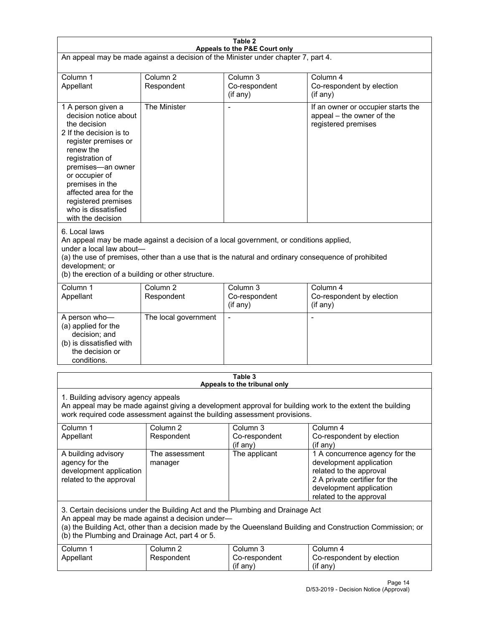| Table 2<br>Appeals to the P&E Court only                                                                                                                                                                                                                                                                             |                                   |                                                  |                                                                                                                                                                             |  |
|----------------------------------------------------------------------------------------------------------------------------------------------------------------------------------------------------------------------------------------------------------------------------------------------------------------------|-----------------------------------|--------------------------------------------------|-----------------------------------------------------------------------------------------------------------------------------------------------------------------------------|--|
| An appeal may be made against a decision of the Minister under chapter 7, part 4.                                                                                                                                                                                                                                    |                                   |                                                  |                                                                                                                                                                             |  |
|                                                                                                                                                                                                                                                                                                                      |                                   |                                                  |                                                                                                                                                                             |  |
| Column 1<br>Appellant                                                                                                                                                                                                                                                                                                | Column <sub>2</sub><br>Respondent | Column <sub>3</sub><br>Co-respondent<br>(if any) | Column 4<br>Co-respondent by election<br>(if any)                                                                                                                           |  |
| 1 A person given a<br>decision notice about<br>the decision<br>2 If the decision is to<br>register premises or<br>renew the<br>registration of<br>premises-an owner<br>or occupier of<br>premises in the<br>affected area for the<br>registered premises<br>who is dissatisfied<br>with the decision                 | The Minister                      |                                                  | If an owner or occupier starts the<br>appeal - the owner of the<br>registered premises                                                                                      |  |
| 6. Local laws<br>An appeal may be made against a decision of a local government, or conditions applied,<br>under a local law about-<br>(a) the use of premises, other than a use that is the natural and ordinary consequence of prohibited<br>development; or<br>(b) the erection of a building or other structure. |                                   |                                                  |                                                                                                                                                                             |  |
| Column 1<br>Appellant                                                                                                                                                                                                                                                                                                | Column <sub>2</sub><br>Respondent | Column 3<br>Co-respondent<br>(if any)            | Column 4<br>Co-respondent by election<br>(if any)                                                                                                                           |  |
| A person who-<br>(a) applied for the<br>decision; and<br>(b) is dissatisfied with<br>the decision or<br>conditions.                                                                                                                                                                                                  | The local government              |                                                  | $\blacksquare$                                                                                                                                                              |  |
| Table 3                                                                                                                                                                                                                                                                                                              |                                   |                                                  |                                                                                                                                                                             |  |
| Appeals to the tribunal only<br>1. Building advisory agency appeals<br>An appeal may be made against giving a development approval for building work to the extent the building<br>work required code assessment against the building assessment provisions.                                                         |                                   |                                                  |                                                                                                                                                                             |  |
| Column 1<br>Appellant                                                                                                                                                                                                                                                                                                | Column <sub>2</sub><br>Respondent | Column <sub>3</sub><br>Co-respondent<br>(if any) | Column 4<br>Co-respondent by election<br>(if any)                                                                                                                           |  |
| A building advisory<br>agency for the<br>development application<br>related to the approval                                                                                                                                                                                                                          | The assessment<br>manager         | The applicant                                    | 1 A concurrence agency for the<br>development application<br>related to the approval<br>2 A private certifier for the<br>development application<br>related to the approval |  |
| 3. Certain decisions under the Building Act and the Plumbing and Drainage Act<br>An appeal may be made against a decision under-<br>(a) the Building Act, other than a decision made by the Queensland Building and Construction Commission; or<br>(b) the Plumbing and Drainage Act, part 4 or 5.                   |                                   |                                                  |                                                                                                                                                                             |  |
| Column 1<br>Appellant                                                                                                                                                                                                                                                                                                | Column <sub>2</sub><br>Respondent | Column 3<br>Co-respondent<br>(if any)            | Column 4<br>Co-respondent by election<br>(if any)                                                                                                                           |  |